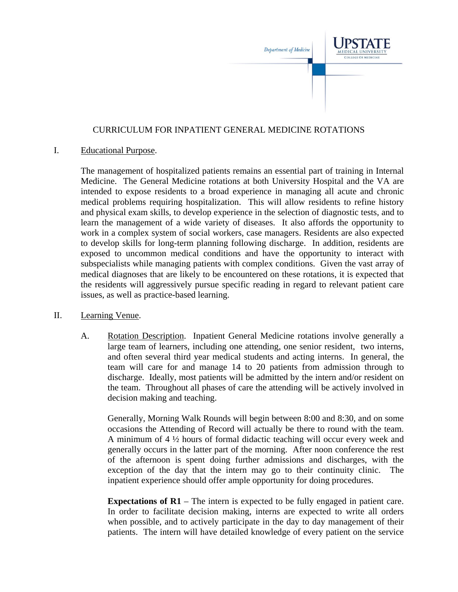

## CURRICULUM FOR INPATIENT GENERAL MEDICINE ROTATIONS

## I. Educational Purpose.

The management of hospitalized patients remains an essential part of training in Internal Medicine. The General Medicine rotations at both University Hospital and the VA are intended to expose residents to a broad experience in managing all acute and chronic medical problems requiring hospitalization. This will allow residents to refine history and physical exam skills, to develop experience in the selection of diagnostic tests, and to learn the management of a wide variety of diseases. It also affords the opportunity to work in a complex system of social workers, case managers. Residents are also expected to develop skills for long-term planning following discharge. In addition, residents are exposed to uncommon medical conditions and have the opportunity to interact with subspecialists while managing patients with complex conditions. Given the vast array of medical diagnoses that are likely to be encountered on these rotations, it is expected that the residents will aggressively pursue specific reading in regard to relevant patient care issues, as well as practice-based learning.

## II. Learning Venue.

A. Rotation Description. Inpatient General Medicine rotations involve generally a large team of learners, including one attending, one senior resident, two interns, and often several third year medical students and acting interns. In general, the team will care for and manage 14 to 20 patients from admission through to discharge. Ideally, most patients will be admitted by the intern and/or resident on the team. Throughout all phases of care the attending will be actively involved in decision making and teaching.

Generally, Morning Walk Rounds will begin between 8:00 and 8:30, and on some occasions the Attending of Record will actually be there to round with the team. A minimum of 4 ½ hours of formal didactic teaching will occur every week and generally occurs in the latter part of the morning. After noon conference the rest of the afternoon is spent doing further admissions and discharges, with the exception of the day that the intern may go to their continuity clinic. The inpatient experience should offer ample opportunity for doing procedures.

**Expectations of R1** – The intern is expected to be fully engaged in patient care. In order to facilitate decision making, interns are expected to write all orders when possible, and to actively participate in the day to day management of their patients. The intern will have detailed knowledge of every patient on the service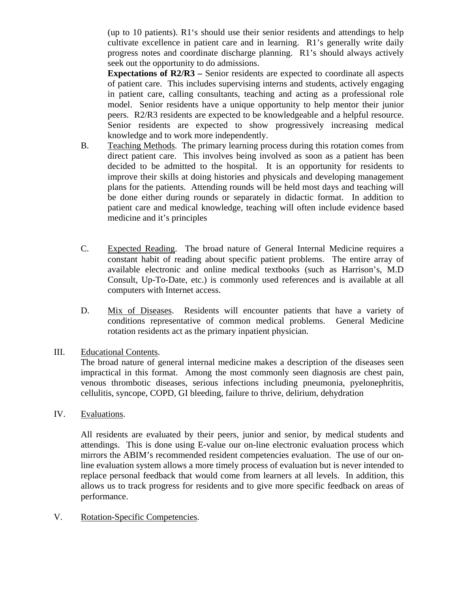(up to 10 patients). R1's should use their senior residents and attendings to help cultivate excellence in patient care and in learning. R1's generally write daily progress notes and coordinate discharge planning. R1's should always actively seek out the opportunity to do admissions.

**Expectations of R2/R3 –** Senior residents are expected to coordinate all aspects of patient care. This includes supervising interns and students, actively engaging in patient care, calling consultants, teaching and acting as a professional role model. Senior residents have a unique opportunity to help mentor their junior peers. R2/R3 residents are expected to be knowledgeable and a helpful resource. Senior residents are expected to show progressively increasing medical knowledge and to work more independently.

- B. Teaching Methods. The primary learning process during this rotation comes from direct patient care. This involves being involved as soon as a patient has been decided to be admitted to the hospital. It is an opportunity for residents to improve their skills at doing histories and physicals and developing management plans for the patients. Attending rounds will be held most days and teaching will be done either during rounds or separately in didactic format. In addition to patient care and medical knowledge, teaching will often include evidence based medicine and it's principles
- C. Expected Reading. The broad nature of General Internal Medicine requires a constant habit of reading about specific patient problems. The entire array of available electronic and online medical textbooks (such as Harrison's, M.D Consult, Up-To-Date, etc.) is commonly used references and is available at all computers with Internet access.
- D. Mix of Diseases. Residents will encounter patients that have a variety of conditions representative of common medical problems. General Medicine rotation residents act as the primary inpatient physician.
- III. Educational Contents.

The broad nature of general internal medicine makes a description of the diseases seen impractical in this format. Among the most commonly seen diagnosis are chest pain, venous thrombotic diseases, serious infections including pneumonia, pyelonephritis, cellulitis, syncope, COPD, GI bleeding, failure to thrive, delirium, dehydration

IV. Evaluations.

All residents are evaluated by their peers, junior and senior, by medical students and attendings. This is done using E-value our on-line electronic evaluation process which mirrors the ABIM's recommended resident competencies evaluation. The use of our online evaluation system allows a more timely process of evaluation but is never intended to replace personal feedback that would come from learners at all levels. In addition, this allows us to track progress for residents and to give more specific feedback on areas of performance.

V. Rotation-Specific Competencies.